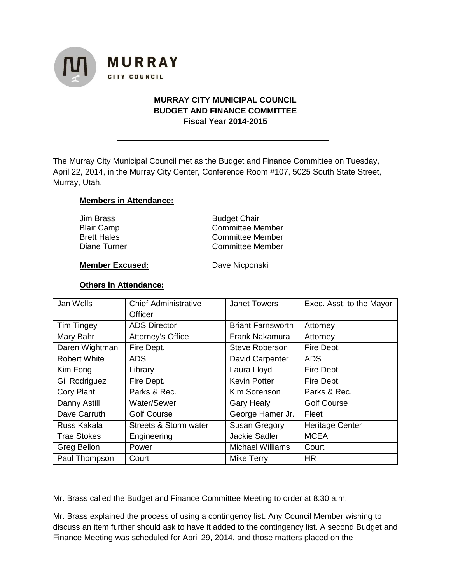

# **MURRAY CITY MUNICIPAL COUNCIL BUDGET AND FINANCE COMMITTEE Fiscal Year 2014-2015**

**T**he Murray City Municipal Council met as the Budget and Finance Committee on Tuesday, April 22, 2014, in the Murray City Center, Conference Room #107, 5025 South State Street, Murray, Utah.

# **Members in Attendance:**

| Jim Brass          | <b>Budget Chair</b>     |  |
|--------------------|-------------------------|--|
| <b>Blair Camp</b>  | <b>Committee Member</b> |  |
| <b>Brett Hales</b> | Committee Member        |  |
| Diane Turner       | <b>Committee Member</b> |  |
|                    |                         |  |

### **Member Excused:** Dave Nicponski

# **Others in Attendance:**

| Jan Wells            | <b>Chief Administrative</b>      | <b>Janet Towers</b>      | Exec. Asst. to the Mayor |
|----------------------|----------------------------------|--------------------------|--------------------------|
|                      | Officer                          |                          |                          |
| <b>Tim Tingey</b>    | <b>ADS Director</b>              | <b>Briant Farnsworth</b> | Attorney                 |
| Mary Bahr            | Attorney's Office                | Frank Nakamura           | Attorney                 |
| Daren Wightman       | Fire Dept.                       | <b>Steve Roberson</b>    | Fire Dept.               |
| <b>Robert White</b>  | <b>ADS</b>                       | David Carpenter          | <b>ADS</b>               |
| Kim Fong             | Library                          | Laura Lloyd              | Fire Dept.               |
| <b>Gil Rodriguez</b> | Fire Dept.                       | <b>Kevin Potter</b>      | Fire Dept.               |
| Cory Plant           | Parks & Rec.                     | Kim Sorenson             | Parks & Rec.             |
| Danny Astill         | Water/Sewer                      | <b>Gary Healy</b>        | <b>Golf Course</b>       |
| Dave Carruth         | <b>Golf Course</b>               | George Hamer Jr.         | Fleet                    |
| Russ Kakala          | <b>Streets &amp; Storm water</b> | <b>Susan Gregory</b>     | <b>Heritage Center</b>   |
| <b>Trae Stokes</b>   | Engineering                      | <b>Jackie Sadler</b>     | <b>MCEA</b>              |
| Greg Bellon          | Power                            | <b>Michael Williams</b>  | Court                    |
| Paul Thompson        | Court                            | <b>Mike Terry</b>        | <b>HR</b>                |

Mr. Brass called the Budget and Finance Committee Meeting to order at 8:30 a.m.

Mr. Brass explained the process of using a contingency list. Any Council Member wishing to discuss an item further should ask to have it added to the contingency list. A second Budget and Finance Meeting was scheduled for April 29, 2014, and those matters placed on the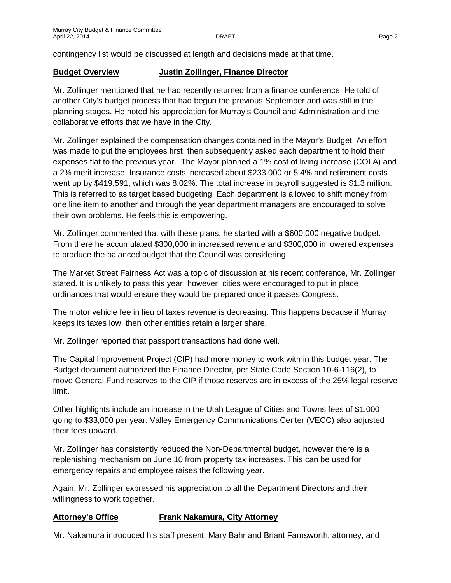contingency list would be discussed at length and decisions made at that time.

# **Budget Overview Justin Zollinger, Finance Director**

Mr. Zollinger mentioned that he had recently returned from a finance conference. He told of another City's budget process that had begun the previous September and was still in the planning stages. He noted his appreciation for Murray's Council and Administration and the collaborative efforts that we have in the City.

Mr. Zollinger explained the compensation changes contained in the Mayor's Budget. An effort was made to put the employees first, then subsequently asked each department to hold their expenses flat to the previous year. The Mayor planned a 1% cost of living increase (COLA) and a 2% merit increase. Insurance costs increased about \$233,000 or 5.4% and retirement costs went up by \$419,591, which was 8.02%. The total increase in payroll suggested is \$1.3 million. This is referred to as target based budgeting. Each department is allowed to shift money from one line item to another and through the year department managers are encouraged to solve their own problems. He feels this is empowering.

Mr. Zollinger commented that with these plans, he started with a \$600,000 negative budget. From there he accumulated \$300,000 in increased revenue and \$300,000 in lowered expenses to produce the balanced budget that the Council was considering.

The Market Street Fairness Act was a topic of discussion at his recent conference, Mr. Zollinger stated. It is unlikely to pass this year, however, cities were encouraged to put in place ordinances that would ensure they would be prepared once it passes Congress.

The motor vehicle fee in lieu of taxes revenue is decreasing. This happens because if Murray keeps its taxes low, then other entities retain a larger share.

Mr. Zollinger reported that passport transactions had done well.

The Capital Improvement Project (CIP) had more money to work with in this budget year. The Budget document authorized the Finance Director, per State Code Section 10-6-116(2), to move General Fund reserves to the CIP if those reserves are in excess of the 25% legal reserve limit.

Other highlights include an increase in the Utah League of Cities and Towns fees of \$1,000 going to \$33,000 per year. Valley Emergency Communications Center (VECC) also adjusted their fees upward.

Mr. Zollinger has consistently reduced the Non-Departmental budget, however there is a replenishing mechanism on June 10 from property tax increases. This can be used for emergency repairs and employee raises the following year.

Again, Mr. Zollinger expressed his appreciation to all the Department Directors and their willingness to work together.

# **Attorney's Office Frank Nakamura, City Attorney**

Mr. Nakamura introduced his staff present, Mary Bahr and Briant Farnsworth, attorney, and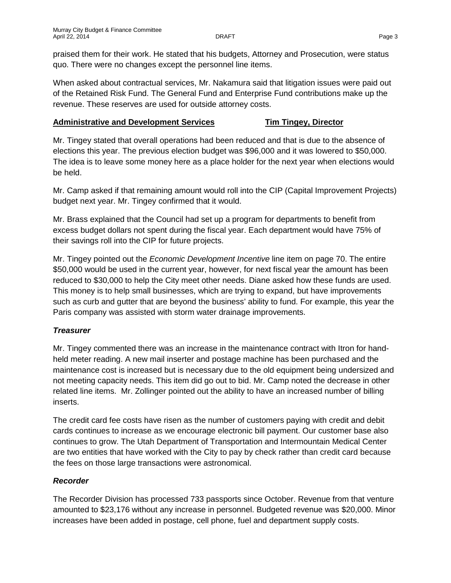praised them for their work. He stated that his budgets, Attorney and Prosecution, were status quo. There were no changes except the personnel line items.

When asked about contractual services, Mr. Nakamura said that litigation issues were paid out of the Retained Risk Fund. The General Fund and Enterprise Fund contributions make up the revenue. These reserves are used for outside attorney costs.

# **Administrative and Development Services Tim Tingey, Director**

Mr. Tingey stated that overall operations had been reduced and that is due to the absence of elections this year. The previous election budget was \$96,000 and it was lowered to \$50,000. The idea is to leave some money here as a place holder for the next year when elections would be held.

Mr. Camp asked if that remaining amount would roll into the CIP (Capital Improvement Projects) budget next year. Mr. Tingey confirmed that it would.

Mr. Brass explained that the Council had set up a program for departments to benefit from excess budget dollars not spent during the fiscal year. Each department would have 75% of their savings roll into the CIP for future projects.

Mr. Tingey pointed out the *Economic Development Incentive* line item on page 70. The entire \$50,000 would be used in the current year, however, for next fiscal year the amount has been reduced to \$30,000 to help the City meet other needs. Diane asked how these funds are used. This money is to help small businesses, which are trying to expand, but have improvements such as curb and gutter that are beyond the business' ability to fund. For example, this year the Paris company was assisted with storm water drainage improvements.

# *Treasurer*

Mr. Tingey commented there was an increase in the maintenance contract with Itron for handheld meter reading. A new mail inserter and postage machine has been purchased and the maintenance cost is increased but is necessary due to the old equipment being undersized and not meeting capacity needs. This item did go out to bid. Mr. Camp noted the decrease in other related line items. Mr. Zollinger pointed out the ability to have an increased number of billing inserts.

The credit card fee costs have risen as the number of customers paying with credit and debit cards continues to increase as we encourage electronic bill payment. Our customer base also continues to grow. The Utah Department of Transportation and Intermountain Medical Center are two entities that have worked with the City to pay by check rather than credit card because the fees on those large transactions were astronomical.

# *Recorder*

The Recorder Division has processed 733 passports since October. Revenue from that venture amounted to \$23,176 without any increase in personnel. Budgeted revenue was \$20,000. Minor increases have been added in postage, cell phone, fuel and department supply costs.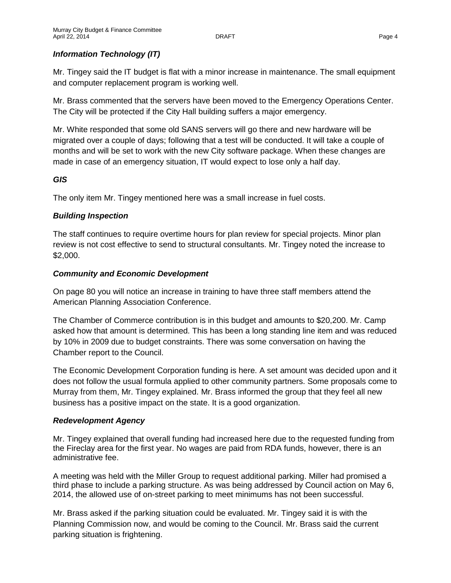# *Information Technology (IT)*

Mr. Tingey said the IT budget is flat with a minor increase in maintenance. The small equipment and computer replacement program is working well.

Mr. Brass commented that the servers have been moved to the Emergency Operations Center. The City will be protected if the City Hall building suffers a major emergency.

Mr. White responded that some old SANS servers will go there and new hardware will be migrated over a couple of days; following that a test will be conducted. It will take a couple of months and will be set to work with the new City software package. When these changes are made in case of an emergency situation, IT would expect to lose only a half day.

### *GIS*

The only item Mr. Tingey mentioned here was a small increase in fuel costs.

# *Building Inspection*

The staff continues to require overtime hours for plan review for special projects. Minor plan review is not cost effective to send to structural consultants. Mr. Tingey noted the increase to \$2,000.

# *Community and Economic Development*

On page 80 you will notice an increase in training to have three staff members attend the American Planning Association Conference.

The Chamber of Commerce contribution is in this budget and amounts to \$20,200. Mr. Camp asked how that amount is determined. This has been a long standing line item and was reduced by 10% in 2009 due to budget constraints. There was some conversation on having the Chamber report to the Council.

The Economic Development Corporation funding is here. A set amount was decided upon and it does not follow the usual formula applied to other community partners. Some proposals come to Murray from them, Mr. Tingey explained. Mr. Brass informed the group that they feel all new business has a positive impact on the state. It is a good organization.

### *Redevelopment Agency*

Mr. Tingey explained that overall funding had increased here due to the requested funding from the Fireclay area for the first year. No wages are paid from RDA funds, however, there is an administrative fee.

A meeting was held with the Miller Group to request additional parking. Miller had promised a third phase to include a parking structure. As was being addressed by Council action on May 6, 2014, the allowed use of on-street parking to meet minimums has not been successful.

Mr. Brass asked if the parking situation could be evaluated. Mr. Tingey said it is with the Planning Commission now, and would be coming to the Council. Mr. Brass said the current parking situation is frightening.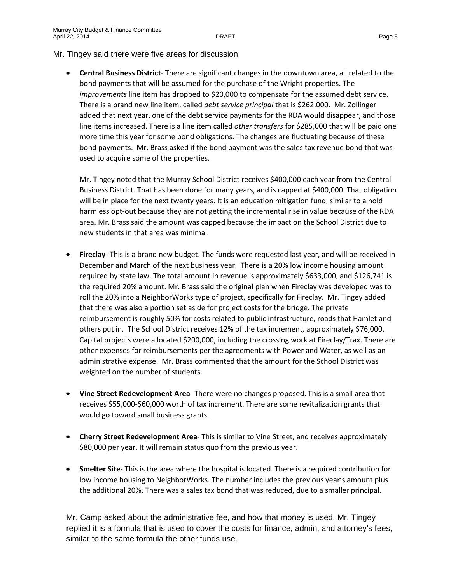Mr. Tingey said there were five areas for discussion:

• **Central Business District**- There are significant changes in the downtown area, all related to the bond payments that will be assumed for the purchase of the Wright properties. The *improvements* line item has dropped to \$20,000 to compensate for the assumed debt service. There is a brand new line item, called *debt service principal* that is \$262,000. Mr. Zollinger added that next year, one of the debt service payments for the RDA would disappear, and those line items increased. There is a line item called *other transfers* for \$285,000 that will be paid one more time this year for some bond obligations. The changes are fluctuating because of these bond payments. Mr. Brass asked if the bond payment was the sales tax revenue bond that was used to acquire some of the properties.

Mr. Tingey noted that the Murray School District receives \$400,000 each year from the Central Business District. That has been done for many years, and is capped at \$400,000. That obligation will be in place for the next twenty years. It is an education mitigation fund, similar to a hold harmless opt-out because they are not getting the incremental rise in value because of the RDA area. Mr. Brass said the amount was capped because the impact on the School District due to new students in that area was minimal.

- **Fireclay** This is a brand new budget. The funds were requested last year, and will be received in December and March of the next business year. There is a 20% low income housing amount required by state law. The total amount in revenue is approximately \$633,000, and \$126,741 is the required 20% amount. Mr. Brass said the original plan when Fireclay was developed was to roll the 20% into a NeighborWorks type of project, specifically for Fireclay. Mr. Tingey added that there was also a portion set aside for project costs for the bridge. The private reimbursement is roughly 50% for costs related to public infrastructure, roads that Hamlet and others put in. The School District receives 12% of the tax increment, approximately \$76,000. Capital projects were allocated \$200,000, including the crossing work at Fireclay/Trax. There are other expenses for reimbursements per the agreements with Power and Water, as well as an administrative expense. Mr. Brass commented that the amount for the School District was weighted on the number of students.
- **Vine Street Redevelopment Area** There were no changes proposed. This is a small area that receives \$55,000-\$60,000 worth of tax increment. There are some revitalization grants that would go toward small business grants.
- **Cherry Street Redevelopment Area** This is similar to Vine Street, and receives approximately \$80,000 per year. It will remain status quo from the previous year.
- **Smelter Site** This is the area where the hospital is located. There is a required contribution for low income housing to NeighborWorks. The number includes the previous year's amount plus the additional 20%. There was a sales tax bond that was reduced, due to a smaller principal.

Mr. Camp asked about the administrative fee, and how that money is used. Mr. Tingey replied it is a formula that is used to cover the costs for finance, admin, and attorney's fees, similar to the same formula the other funds use.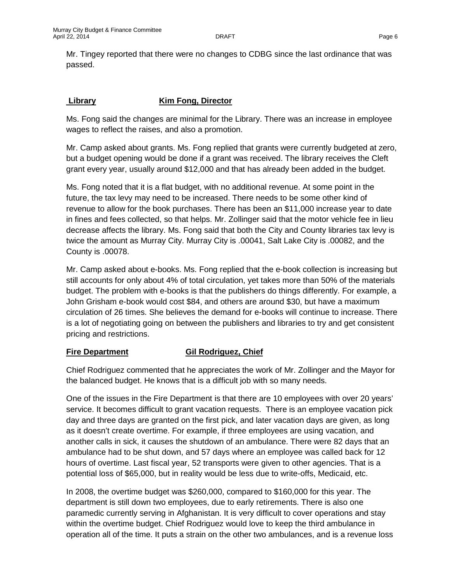Mr. Tingey reported that there were no changes to CDBG since the last ordinance that was passed.

# **Library Kim Fong, Director**

Ms. Fong said the changes are minimal for the Library. There was an increase in employee wages to reflect the raises, and also a promotion.

Mr. Camp asked about grants. Ms. Fong replied that grants were currently budgeted at zero, but a budget opening would be done if a grant was received. The library receives the Cleft grant every year, usually around \$12,000 and that has already been added in the budget.

Ms. Fong noted that it is a flat budget, with no additional revenue. At some point in the future, the tax levy may need to be increased. There needs to be some other kind of revenue to allow for the book purchases. There has been an \$11,000 increase year to date in fines and fees collected, so that helps. Mr. Zollinger said that the motor vehicle fee in lieu decrease affects the library. Ms. Fong said that both the City and County libraries tax levy is twice the amount as Murray City. Murray City is .00041, Salt Lake City is .00082, and the County is .00078.

Mr. Camp asked about e-books. Ms. Fong replied that the e-book collection is increasing but still accounts for only about 4% of total circulation, yet takes more than 50% of the materials budget. The problem with e-books is that the publishers do things differently. For example, a John Grisham e-book would cost \$84, and others are around \$30, but have a maximum circulation of 26 times. She believes the demand for e-books will continue to increase. There is a lot of negotiating going on between the publishers and libraries to try and get consistent pricing and restrictions.

# **Fire Department Gil Rodriguez, Chief**

Chief Rodriguez commented that he appreciates the work of Mr. Zollinger and the Mayor for the balanced budget. He knows that is a difficult job with so many needs.

One of the issues in the Fire Department is that there are 10 employees with over 20 years' service. It becomes difficult to grant vacation requests. There is an employee vacation pick day and three days are granted on the first pick, and later vacation days are given, as long as it doesn't create overtime. For example, if three employees are using vacation, and another calls in sick, it causes the shutdown of an ambulance. There were 82 days that an ambulance had to be shut down, and 57 days where an employee was called back for 12 hours of overtime. Last fiscal year, 52 transports were given to other agencies. That is a potential loss of \$65,000, but in reality would be less due to write-offs, Medicaid, etc.

In 2008, the overtime budget was \$260,000, compared to \$160,000 for this year. The department is still down two employees, due to early retirements. There is also one paramedic currently serving in Afghanistan. It is very difficult to cover operations and stay within the overtime budget. Chief Rodriguez would love to keep the third ambulance in operation all of the time. It puts a strain on the other two ambulances, and is a revenue loss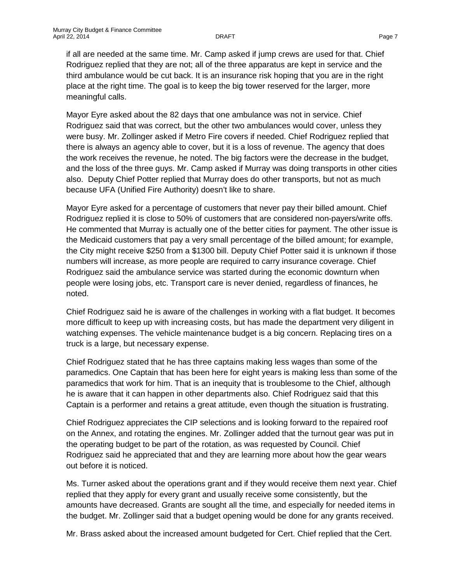if all are needed at the same time. Mr. Camp asked if jump crews are used for that. Chief Rodriguez replied that they are not; all of the three apparatus are kept in service and the third ambulance would be cut back. It is an insurance risk hoping that you are in the right place at the right time. The goal is to keep the big tower reserved for the larger, more meaningful calls.

Mayor Eyre asked about the 82 days that one ambulance was not in service. Chief Rodriguez said that was correct, but the other two ambulances would cover, unless they were busy. Mr. Zollinger asked if Metro Fire covers if needed. Chief Rodriguez replied that there is always an agency able to cover, but it is a loss of revenue. The agency that does the work receives the revenue, he noted. The big factors were the decrease in the budget, and the loss of the three guys. Mr. Camp asked if Murray was doing transports in other cities also. Deputy Chief Potter replied that Murray does do other transports, but not as much because UFA (Unified Fire Authority) doesn't like to share.

Mayor Eyre asked for a percentage of customers that never pay their billed amount. Chief Rodriguez replied it is close to 50% of customers that are considered non-payers/write offs. He commented that Murray is actually one of the better cities for payment. The other issue is the Medicaid customers that pay a very small percentage of the billed amount; for example, the City might receive \$250 from a \$1300 bill. Deputy Chief Potter said it is unknown if those numbers will increase, as more people are required to carry insurance coverage. Chief Rodriguez said the ambulance service was started during the economic downturn when people were losing jobs, etc. Transport care is never denied, regardless of finances, he noted.

Chief Rodriguez said he is aware of the challenges in working with a flat budget. It becomes more difficult to keep up with increasing costs, but has made the department very diligent in watching expenses. The vehicle maintenance budget is a big concern. Replacing tires on a truck is a large, but necessary expense.

Chief Rodriguez stated that he has three captains making less wages than some of the paramedics. One Captain that has been here for eight years is making less than some of the paramedics that work for him. That is an inequity that is troublesome to the Chief, although he is aware that it can happen in other departments also. Chief Rodriguez said that this Captain is a performer and retains a great attitude, even though the situation is frustrating.

Chief Rodriguez appreciates the CIP selections and is looking forward to the repaired roof on the Annex, and rotating the engines. Mr. Zollinger added that the turnout gear was put in the operating budget to be part of the rotation, as was requested by Council. Chief Rodriguez said he appreciated that and they are learning more about how the gear wears out before it is noticed.

Ms. Turner asked about the operations grant and if they would receive them next year. Chief replied that they apply for every grant and usually receive some consistently, but the amounts have decreased. Grants are sought all the time, and especially for needed items in the budget. Mr. Zollinger said that a budget opening would be done for any grants received.

Mr. Brass asked about the increased amount budgeted for Cert. Chief replied that the Cert.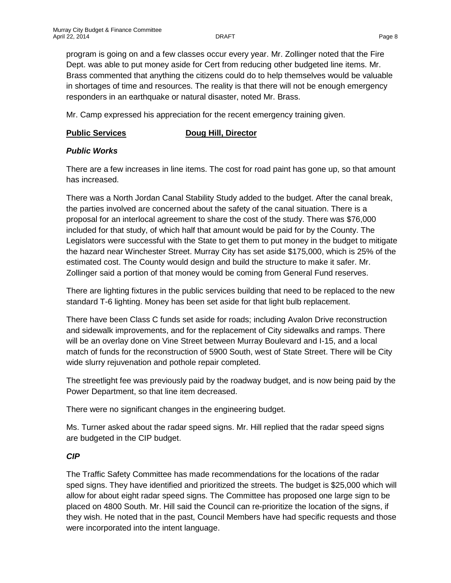program is going on and a few classes occur every year. Mr. Zollinger noted that the Fire Dept. was able to put money aside for Cert from reducing other budgeted line items. Mr. Brass commented that anything the citizens could do to help themselves would be valuable in shortages of time and resources. The reality is that there will not be enough emergency responders in an earthquake or natural disaster, noted Mr. Brass.

Mr. Camp expressed his appreciation for the recent emergency training given.

#### **Public Services Doug Hill, Director**

# *Public Works*

There are a few increases in line items. The cost for road paint has gone up, so that amount has increased.

There was a North Jordan Canal Stability Study added to the budget. After the canal break, the parties involved are concerned about the safety of the canal situation. There is a proposal for an interlocal agreement to share the cost of the study. There was \$76,000 included for that study, of which half that amount would be paid for by the County. The Legislators were successful with the State to get them to put money in the budget to mitigate the hazard near Winchester Street. Murray City has set aside \$175,000, which is 25% of the estimated cost. The County would design and build the structure to make it safer. Mr. Zollinger said a portion of that money would be coming from General Fund reserves.

There are lighting fixtures in the public services building that need to be replaced to the new standard T-6 lighting. Money has been set aside for that light bulb replacement.

There have been Class C funds set aside for roads; including Avalon Drive reconstruction and sidewalk improvements, and for the replacement of City sidewalks and ramps. There will be an overlay done on Vine Street between Murray Boulevard and I-15, and a local match of funds for the reconstruction of 5900 South, west of State Street. There will be City wide slurry rejuvenation and pothole repair completed.

The streetlight fee was previously paid by the roadway budget, and is now being paid by the Power Department, so that line item decreased.

There were no significant changes in the engineering budget.

Ms. Turner asked about the radar speed signs. Mr. Hill replied that the radar speed signs are budgeted in the CIP budget.

### *CIP*

The Traffic Safety Committee has made recommendations for the locations of the radar sped signs. They have identified and prioritized the streets. The budget is \$25,000 which will allow for about eight radar speed signs. The Committee has proposed one large sign to be placed on 4800 South. Mr. Hill said the Council can re-prioritize the location of the signs, if they wish. He noted that in the past, Council Members have had specific requests and those were incorporated into the intent language.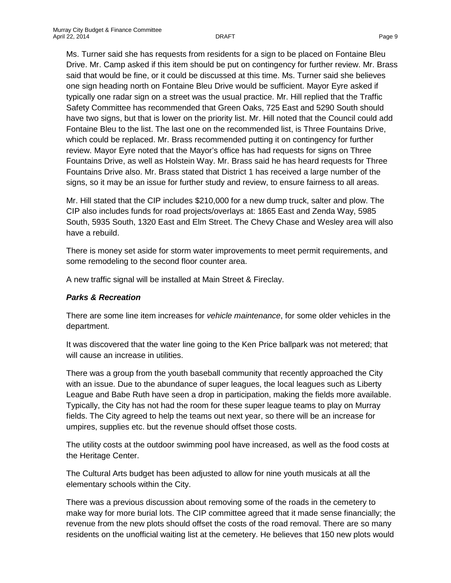Ms. Turner said she has requests from residents for a sign to be placed on Fontaine Bleu Drive. Mr. Camp asked if this item should be put on contingency for further review. Mr. Brass said that would be fine, or it could be discussed at this time. Ms. Turner said she believes one sign heading north on Fontaine Bleu Drive would be sufficient. Mayor Eyre asked if typically one radar sign on a street was the usual practice. Mr. Hill replied that the Traffic Safety Committee has recommended that Green Oaks, 725 East and 5290 South should have two signs, but that is lower on the priority list. Mr. Hill noted that the Council could add Fontaine Bleu to the list. The last one on the recommended list, is Three Fountains Drive, which could be replaced. Mr. Brass recommended putting it on contingency for further review. Mayor Eyre noted that the Mayor's office has had requests for signs on Three Fountains Drive, as well as Holstein Way. Mr. Brass said he has heard requests for Three Fountains Drive also. Mr. Brass stated that District 1 has received a large number of the signs, so it may be an issue for further study and review, to ensure fairness to all areas.

Mr. Hill stated that the CIP includes \$210,000 for a new dump truck, salter and plow. The CIP also includes funds for road projects/overlays at: 1865 East and Zenda Way, 5985 South, 5935 South, 1320 East and Elm Street. The Chevy Chase and Wesley area will also have a rebuild.

There is money set aside for storm water improvements to meet permit requirements, and some remodeling to the second floor counter area.

A new traffic signal will be installed at Main Street & Fireclay.

# *Parks & Recreation*

There are some line item increases for *vehicle maintenance*, for some older vehicles in the department.

It was discovered that the water line going to the Ken Price ballpark was not metered; that will cause an increase in utilities.

There was a group from the youth baseball community that recently approached the City with an issue. Due to the abundance of super leagues, the local leagues such as Liberty League and Babe Ruth have seen a drop in participation, making the fields more available. Typically, the City has not had the room for these super league teams to play on Murray fields. The City agreed to help the teams out next year, so there will be an increase for umpires, supplies etc. but the revenue should offset those costs.

The utility costs at the outdoor swimming pool have increased, as well as the food costs at the Heritage Center.

The Cultural Arts budget has been adjusted to allow for nine youth musicals at all the elementary schools within the City.

There was a previous discussion about removing some of the roads in the cemetery to make way for more burial lots. The CIP committee agreed that it made sense financially; the revenue from the new plots should offset the costs of the road removal. There are so many residents on the unofficial waiting list at the cemetery. He believes that 150 new plots would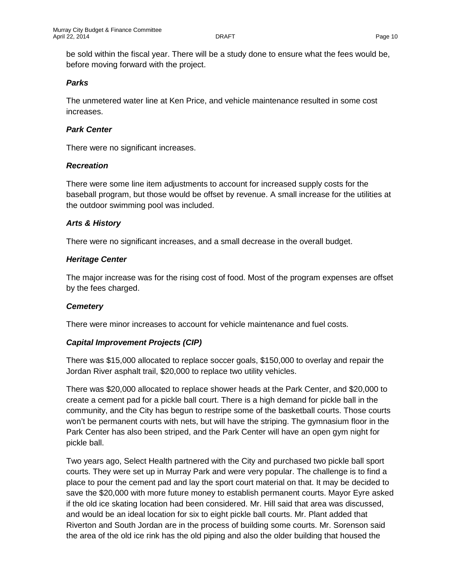be sold within the fiscal year. There will be a study done to ensure what the fees would be, before moving forward with the project.

### *Parks*

The unmetered water line at Ken Price, and vehicle maintenance resulted in some cost increases.

## *Park Center*

There were no significant increases.

### *Recreation*

There were some line item adjustments to account for increased supply costs for the baseball program, but those would be offset by revenue. A small increase for the utilities at the outdoor swimming pool was included.

# *Arts & History*

There were no significant increases, and a small decrease in the overall budget.

# *Heritage Center*

The major increase was for the rising cost of food. Most of the program expenses are offset by the fees charged.

### *Cemetery*

There were minor increases to account for vehicle maintenance and fuel costs.

### *Capital Improvement Projects (CIP)*

There was \$15,000 allocated to replace soccer goals, \$150,000 to overlay and repair the Jordan River asphalt trail, \$20,000 to replace two utility vehicles.

There was \$20,000 allocated to replace shower heads at the Park Center, and \$20,000 to create a cement pad for a pickle ball court. There is a high demand for pickle ball in the community, and the City has begun to restripe some of the basketball courts. Those courts won't be permanent courts with nets, but will have the striping. The gymnasium floor in the Park Center has also been striped, and the Park Center will have an open gym night for pickle ball.

Two years ago, Select Health partnered with the City and purchased two pickle ball sport courts. They were set up in Murray Park and were very popular. The challenge is to find a place to pour the cement pad and lay the sport court material on that. It may be decided to save the \$20,000 with more future money to establish permanent courts. Mayor Eyre asked if the old ice skating location had been considered. Mr. Hill said that area was discussed, and would be an ideal location for six to eight pickle ball courts. Mr. Plant added that Riverton and South Jordan are in the process of building some courts. Mr. Sorenson said the area of the old ice rink has the old piping and also the older building that housed the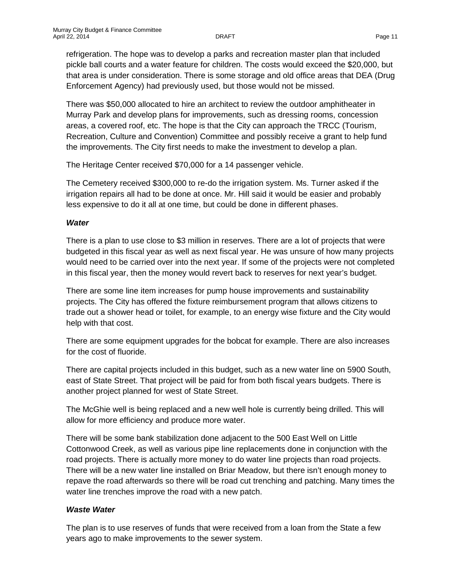refrigeration. The hope was to develop a parks and recreation master plan that included pickle ball courts and a water feature for children. The costs would exceed the \$20,000, but that area is under consideration. There is some storage and old office areas that DEA (Drug Enforcement Agency) had previously used, but those would not be missed.

There was \$50,000 allocated to hire an architect to review the outdoor amphitheater in Murray Park and develop plans for improvements, such as dressing rooms, concession areas, a covered roof, etc. The hope is that the City can approach the TRCC (Tourism, Recreation, Culture and Convention) Committee and possibly receive a grant to help fund the improvements. The City first needs to make the investment to develop a plan.

The Heritage Center received \$70,000 for a 14 passenger vehicle.

The Cemetery received \$300,000 to re-do the irrigation system. Ms. Turner asked if the irrigation repairs all had to be done at once. Mr. Hill said it would be easier and probably less expensive to do it all at one time, but could be done in different phases.

#### *Water*

There is a plan to use close to \$3 million in reserves. There are a lot of projects that were budgeted in this fiscal year as well as next fiscal year. He was unsure of how many projects would need to be carried over into the next year. If some of the projects were not completed in this fiscal year, then the money would revert back to reserves for next year's budget.

There are some line item increases for pump house improvements and sustainability projects. The City has offered the fixture reimbursement program that allows citizens to trade out a shower head or toilet, for example, to an energy wise fixture and the City would help with that cost.

There are some equipment upgrades for the bobcat for example. There are also increases for the cost of fluoride.

There are capital projects included in this budget, such as a new water line on 5900 South, east of State Street. That project will be paid for from both fiscal years budgets. There is another project planned for west of State Street.

The McGhie well is being replaced and a new well hole is currently being drilled. This will allow for more efficiency and produce more water.

There will be some bank stabilization done adjacent to the 500 East Well on Little Cottonwood Creek, as well as various pipe line replacements done in conjunction with the road projects. There is actually more money to do water line projects than road projects. There will be a new water line installed on Briar Meadow, but there isn't enough money to repave the road afterwards so there will be road cut trenching and patching. Many times the water line trenches improve the road with a new patch.

### *Waste Water*

The plan is to use reserves of funds that were received from a loan from the State a few years ago to make improvements to the sewer system.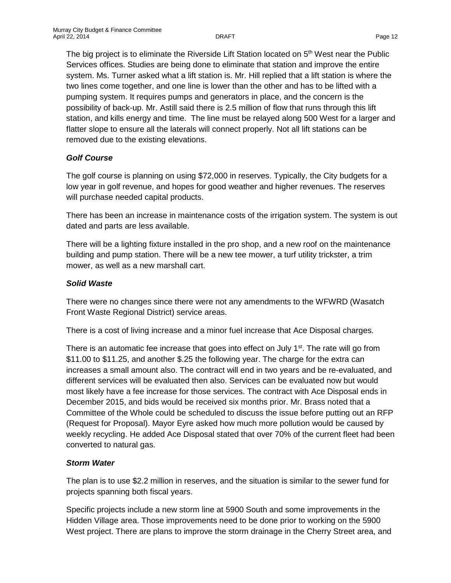The big project is to eliminate the Riverside Lift Station located on  $5<sup>th</sup>$  West near the Public Services offices. Studies are being done to eliminate that station and improve the entire system. Ms. Turner asked what a lift station is. Mr. Hill replied that a lift station is where the two lines come together, and one line is lower than the other and has to be lifted with a pumping system. It requires pumps and generators in place, and the concern is the possibility of back-up. Mr. Astill said there is 2.5 million of flow that runs through this lift station, and kills energy and time. The line must be relayed along 500 West for a larger and flatter slope to ensure all the laterals will connect properly. Not all lift stations can be removed due to the existing elevations.

# *Golf Course*

The golf course is planning on using \$72,000 in reserves. Typically, the City budgets for a low year in golf revenue, and hopes for good weather and higher revenues. The reserves will purchase needed capital products.

There has been an increase in maintenance costs of the irrigation system. The system is out dated and parts are less available.

There will be a lighting fixture installed in the pro shop, and a new roof on the maintenance building and pump station. There will be a new tee mower, a turf utility trickster, a trim mower, as well as a new marshall cart.

# *Solid Waste*

There were no changes since there were not any amendments to the WFWRD (Wasatch Front Waste Regional District) service areas.

There is a cost of living increase and a minor fuel increase that Ace Disposal charges.

There is an automatic fee increase that goes into effect on July  $1<sup>st</sup>$ . The rate will go from \$11.00 to \$11.25, and another \$.25 the following year. The charge for the extra can increases a small amount also. The contract will end in two years and be re-evaluated, and different services will be evaluated then also. Services can be evaluated now but would most likely have a fee increase for those services. The contract with Ace Disposal ends in December 2015, and bids would be received six months prior. Mr. Brass noted that a Committee of the Whole could be scheduled to discuss the issue before putting out an RFP (Request for Proposal). Mayor Eyre asked how much more pollution would be caused by weekly recycling. He added Ace Disposal stated that over 70% of the current fleet had been converted to natural gas.

# *Storm Water*

The plan is to use \$2.2 million in reserves, and the situation is similar to the sewer fund for projects spanning both fiscal years.

Specific projects include a new storm line at 5900 South and some improvements in the Hidden Village area. Those improvements need to be done prior to working on the 5900 West project. There are plans to improve the storm drainage in the Cherry Street area, and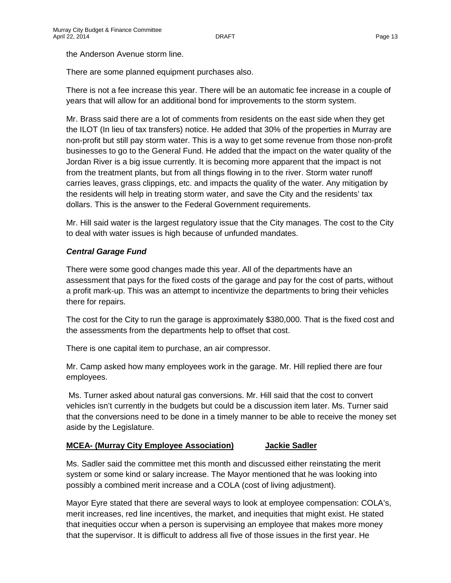the Anderson Avenue storm line.

There are some planned equipment purchases also.

There is not a fee increase this year. There will be an automatic fee increase in a couple of years that will allow for an additional bond for improvements to the storm system.

Mr. Brass said there are a lot of comments from residents on the east side when they get the ILOT (In lieu of tax transfers) notice. He added that 30% of the properties in Murray are non-profit but still pay storm water. This is a way to get some revenue from those non-profit businesses to go to the General Fund. He added that the impact on the water quality of the Jordan River is a big issue currently. It is becoming more apparent that the impact is not from the treatment plants, but from all things flowing in to the river. Storm water runoff carries leaves, grass clippings, etc. and impacts the quality of the water. Any mitigation by the residents will help in treating storm water, and save the City and the residents' tax dollars. This is the answer to the Federal Government requirements.

Mr. Hill said water is the largest regulatory issue that the City manages. The cost to the City to deal with water issues is high because of unfunded mandates.

# *Central Garage Fund*

There were some good changes made this year. All of the departments have an assessment that pays for the fixed costs of the garage and pay for the cost of parts, without a profit mark-up. This was an attempt to incentivize the departments to bring their vehicles there for repairs.

The cost for the City to run the garage is approximately \$380,000. That is the fixed cost and the assessments from the departments help to offset that cost.

There is one capital item to purchase, an air compressor.

Mr. Camp asked how many employees work in the garage. Mr. Hill replied there are four employees.

Ms. Turner asked about natural gas conversions. Mr. Hill said that the cost to convert vehicles isn't currently in the budgets but could be a discussion item later. Ms. Turner said that the conversions need to be done in a timely manner to be able to receive the money set aside by the Legislature.

### **MCEA- (Murray City Employee Association) Jackie Sadler**

Ms. Sadler said the committee met this month and discussed either reinstating the merit system or some kind or salary increase. The Mayor mentioned that he was looking into possibly a combined merit increase and a COLA (cost of living adjustment).

Mayor Eyre stated that there are several ways to look at employee compensation: COLA's, merit increases, red line incentives, the market, and inequities that might exist. He stated that inequities occur when a person is supervising an employee that makes more money that the supervisor. It is difficult to address all five of those issues in the first year. He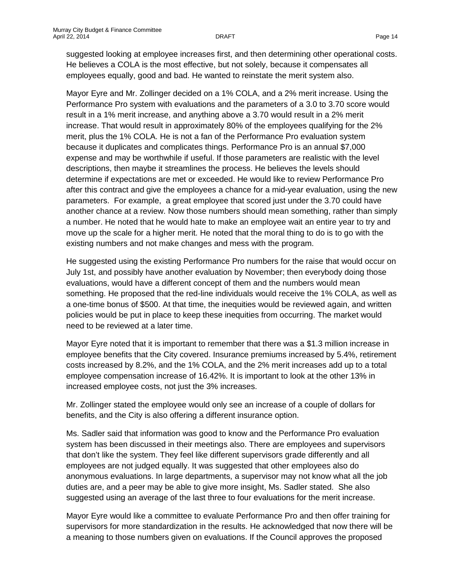suggested looking at employee increases first, and then determining other operational costs. He believes a COLA is the most effective, but not solely, because it compensates all employees equally, good and bad. He wanted to reinstate the merit system also.

Mayor Eyre and Mr. Zollinger decided on a 1% COLA, and a 2% merit increase. Using the Performance Pro system with evaluations and the parameters of a 3.0 to 3.70 score would result in a 1% merit increase, and anything above a 3.70 would result in a 2% merit increase. That would result in approximately 80% of the employees qualifying for the 2% merit, plus the 1% COLA. He is not a fan of the Performance Pro evaluation system because it duplicates and complicates things. Performance Pro is an annual \$7,000 expense and may be worthwhile if useful. If those parameters are realistic with the level descriptions, then maybe it streamlines the process. He believes the levels should determine if expectations are met or exceeded. He would like to review Performance Pro after this contract and give the employees a chance for a mid-year evaluation, using the new parameters. For example, a great employee that scored just under the 3.70 could have another chance at a review. Now those numbers should mean something, rather than simply a number. He noted that he would hate to make an employee wait an entire year to try and move up the scale for a higher merit. He noted that the moral thing to do is to go with the existing numbers and not make changes and mess with the program.

He suggested using the existing Performance Pro numbers for the raise that would occur on July 1st, and possibly have another evaluation by November; then everybody doing those evaluations, would have a different concept of them and the numbers would mean something. He proposed that the red-line individuals would receive the 1% COLA, as well as a one-time bonus of \$500. At that time, the inequities would be reviewed again, and written policies would be put in place to keep these inequities from occurring. The market would need to be reviewed at a later time.

Mayor Eyre noted that it is important to remember that there was a \$1.3 million increase in employee benefits that the City covered. Insurance premiums increased by 5.4%, retirement costs increased by 8.2%, and the 1% COLA, and the 2% merit increases add up to a total employee compensation increase of 16.42%. It is important to look at the other 13% in increased employee costs, not just the 3% increases.

Mr. Zollinger stated the employee would only see an increase of a couple of dollars for benefits, and the City is also offering a different insurance option.

Ms. Sadler said that information was good to know and the Performance Pro evaluation system has been discussed in their meetings also. There are employees and supervisors that don't like the system. They feel like different supervisors grade differently and all employees are not judged equally. It was suggested that other employees also do anonymous evaluations. In large departments, a supervisor may not know what all the job duties are, and a peer may be able to give more insight, Ms. Sadler stated. She also suggested using an average of the last three to four evaluations for the merit increase.

Mayor Eyre would like a committee to evaluate Performance Pro and then offer training for supervisors for more standardization in the results. He acknowledged that now there will be a meaning to those numbers given on evaluations. If the Council approves the proposed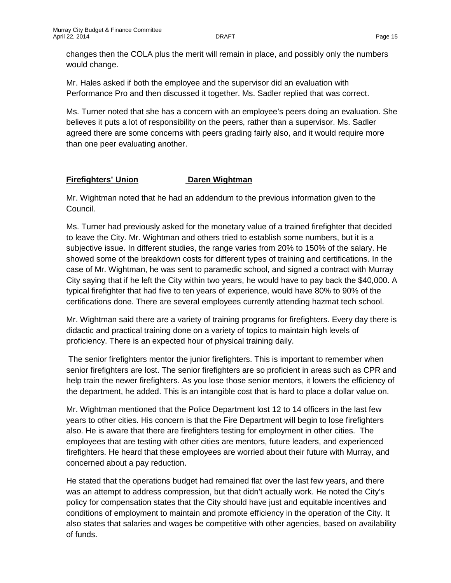changes then the COLA plus the merit will remain in place, and possibly only the numbers would change.

Mr. Hales asked if both the employee and the supervisor did an evaluation with Performance Pro and then discussed it together. Ms. Sadler replied that was correct.

Ms. Turner noted that she has a concern with an employee's peers doing an evaluation. She believes it puts a lot of responsibility on the peers, rather than a supervisor. Ms. Sadler agreed there are some concerns with peers grading fairly also, and it would require more than one peer evaluating another.

# **Firefighters' Union Daren Wightman**

Mr. Wightman noted that he had an addendum to the previous information given to the Council.

Ms. Turner had previously asked for the monetary value of a trained firefighter that decided to leave the City. Mr. Wightman and others tried to establish some numbers, but it is a subjective issue. In different studies, the range varies from 20% to 150% of the salary. He showed some of the breakdown costs for different types of training and certifications. In the case of Mr. Wightman, he was sent to paramedic school, and signed a contract with Murray City saying that if he left the City within two years, he would have to pay back the \$40,000. A typical firefighter that had five to ten years of experience, would have 80% to 90% of the certifications done. There are several employees currently attending hazmat tech school.

Mr. Wightman said there are a variety of training programs for firefighters. Every day there is didactic and practical training done on a variety of topics to maintain high levels of proficiency. There is an expected hour of physical training daily.

The senior firefighters mentor the junior firefighters. This is important to remember when senior firefighters are lost. The senior firefighters are so proficient in areas such as CPR and help train the newer firefighters. As you lose those senior mentors, it lowers the efficiency of the department, he added. This is an intangible cost that is hard to place a dollar value on.

Mr. Wightman mentioned that the Police Department lost 12 to 14 officers in the last few years to other cities. His concern is that the Fire Department will begin to lose firefighters also. He is aware that there are firefighters testing for employment in other cities. The employees that are testing with other cities are mentors, future leaders, and experienced firefighters. He heard that these employees are worried about their future with Murray, and concerned about a pay reduction.

He stated that the operations budget had remained flat over the last few years, and there was an attempt to address compression, but that didn't actually work. He noted the City's policy for compensation states that the City should have just and equitable incentives and conditions of employment to maintain and promote efficiency in the operation of the City. It also states that salaries and wages be competitive with other agencies, based on availability of funds.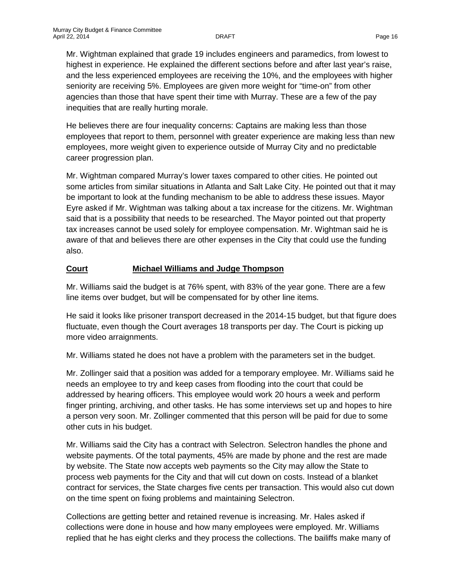Mr. Wightman explained that grade 19 includes engineers and paramedics, from lowest to highest in experience. He explained the different sections before and after last year's raise, and the less experienced employees are receiving the 10%, and the employees with higher seniority are receiving 5%. Employees are given more weight for "time-on" from other agencies than those that have spent their time with Murray. These are a few of the pay inequities that are really hurting morale.

He believes there are four inequality concerns: Captains are making less than those employees that report to them, personnel with greater experience are making less than new employees, more weight given to experience outside of Murray City and no predictable career progression plan.

Mr. Wightman compared Murray's lower taxes compared to other cities. He pointed out some articles from similar situations in Atlanta and Salt Lake City. He pointed out that it may be important to look at the funding mechanism to be able to address these issues. Mayor Eyre asked if Mr. Wightman was talking about a tax increase for the citizens. Mr. Wightman said that is a possibility that needs to be researched. The Mayor pointed out that property tax increases cannot be used solely for employee compensation. Mr. Wightman said he is aware of that and believes there are other expenses in the City that could use the funding also.

# **Court Michael Williams and Judge Thompson**

Mr. Williams said the budget is at 76% spent, with 83% of the year gone. There are a few line items over budget, but will be compensated for by other line items.

He said it looks like prisoner transport decreased in the 2014-15 budget, but that figure does fluctuate, even though the Court averages 18 transports per day. The Court is picking up more video arraignments.

Mr. Williams stated he does not have a problem with the parameters set in the budget.

Mr. Zollinger said that a position was added for a temporary employee. Mr. Williams said he needs an employee to try and keep cases from flooding into the court that could be addressed by hearing officers. This employee would work 20 hours a week and perform finger printing, archiving, and other tasks. He has some interviews set up and hopes to hire a person very soon. Mr. Zollinger commented that this person will be paid for due to some other cuts in his budget.

Mr. Williams said the City has a contract with Selectron. Selectron handles the phone and website payments. Of the total payments, 45% are made by phone and the rest are made by website. The State now accepts web payments so the City may allow the State to process web payments for the City and that will cut down on costs. Instead of a blanket contract for services, the State charges five cents per transaction. This would also cut down on the time spent on fixing problems and maintaining Selectron.

Collections are getting better and retained revenue is increasing. Mr. Hales asked if collections were done in house and how many employees were employed. Mr. Williams replied that he has eight clerks and they process the collections. The bailiffs make many of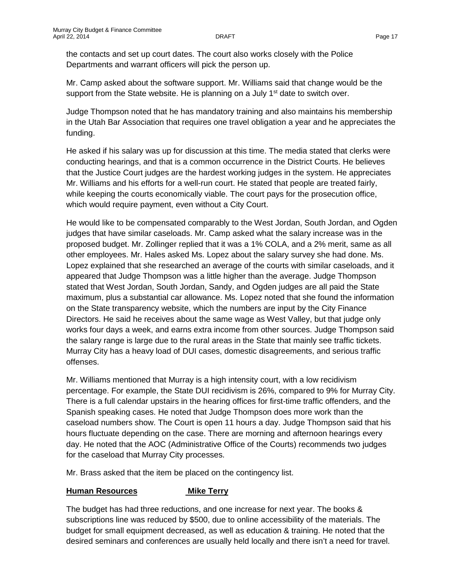the contacts and set up court dates. The court also works closely with the Police Departments and warrant officers will pick the person up.

Mr. Camp asked about the software support. Mr. Williams said that change would be the support from the State website. He is planning on a July  $1<sup>st</sup>$  date to switch over.

Judge Thompson noted that he has mandatory training and also maintains his membership in the Utah Bar Association that requires one travel obligation a year and he appreciates the funding.

He asked if his salary was up for discussion at this time. The media stated that clerks were conducting hearings, and that is a common occurrence in the District Courts. He believes that the Justice Court judges are the hardest working judges in the system. He appreciates Mr. Williams and his efforts for a well-run court. He stated that people are treated fairly, while keeping the courts economically viable. The court pays for the prosecution office, which would require payment, even without a City Court.

He would like to be compensated comparably to the West Jordan, South Jordan, and Ogden judges that have similar caseloads. Mr. Camp asked what the salary increase was in the proposed budget. Mr. Zollinger replied that it was a 1% COLA, and a 2% merit, same as all other employees. Mr. Hales asked Ms. Lopez about the salary survey she had done. Ms. Lopez explained that she researched an average of the courts with similar caseloads, and it appeared that Judge Thompson was a little higher than the average. Judge Thompson stated that West Jordan, South Jordan, Sandy, and Ogden judges are all paid the State maximum, plus a substantial car allowance. Ms. Lopez noted that she found the information on the State transparency website, which the numbers are input by the City Finance Directors. He said he receives about the same wage as West Valley, but that judge only works four days a week, and earns extra income from other sources. Judge Thompson said the salary range is large due to the rural areas in the State that mainly see traffic tickets. Murray City has a heavy load of DUI cases, domestic disagreements, and serious traffic offenses.

Mr. Williams mentioned that Murray is a high intensity court, with a low recidivism percentage. For example, the State DUI recidivism is 26%, compared to 9% for Murray City. There is a full calendar upstairs in the hearing offices for first-time traffic offenders, and the Spanish speaking cases. He noted that Judge Thompson does more work than the caseload numbers show. The Court is open 11 hours a day. Judge Thompson said that his hours fluctuate depending on the case. There are morning and afternoon hearings every day. He noted that the AOC (Administrative Office of the Courts) recommends two judges for the caseload that Murray City processes.

Mr. Brass asked that the item be placed on the contingency list.

#### **Human Resources Mike Terry**

The budget has had three reductions, and one increase for next year. The books & subscriptions line was reduced by \$500, due to online accessibility of the materials. The budget for small equipment decreased, as well as education & training. He noted that the desired seminars and conferences are usually held locally and there isn't a need for travel.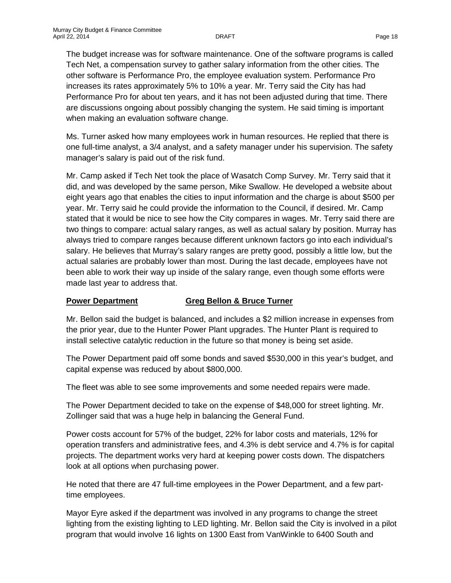The budget increase was for software maintenance. One of the software programs is called Tech Net, a compensation survey to gather salary information from the other cities. The other software is Performance Pro, the employee evaluation system. Performance Pro increases its rates approximately 5% to 10% a year. Mr. Terry said the City has had Performance Pro for about ten years, and it has not been adjusted during that time. There are discussions ongoing about possibly changing the system. He said timing is important when making an evaluation software change.

Ms. Turner asked how many employees work in human resources. He replied that there is one full-time analyst, a 3/4 analyst, and a safety manager under his supervision. The safety manager's salary is paid out of the risk fund.

Mr. Camp asked if Tech Net took the place of Wasatch Comp Survey. Mr. Terry said that it did, and was developed by the same person, Mike Swallow. He developed a website about eight years ago that enables the cities to input information and the charge is about \$500 per year. Mr. Terry said he could provide the information to the Council, if desired. Mr. Camp stated that it would be nice to see how the City compares in wages. Mr. Terry said there are two things to compare: actual salary ranges, as well as actual salary by position. Murray has always tried to compare ranges because different unknown factors go into each individual's salary. He believes that Murray's salary ranges are pretty good, possibly a little low, but the actual salaries are probably lower than most. During the last decade, employees have not been able to work their way up inside of the salary range, even though some efforts were made last year to address that.

### **Power Department Greg Bellon & Bruce Turner**

Mr. Bellon said the budget is balanced, and includes a \$2 million increase in expenses from the prior year, due to the Hunter Power Plant upgrades. The Hunter Plant is required to install selective catalytic reduction in the future so that money is being set aside.

The Power Department paid off some bonds and saved \$530,000 in this year's budget, and capital expense was reduced by about \$800,000.

The fleet was able to see some improvements and some needed repairs were made.

The Power Department decided to take on the expense of \$48,000 for street lighting. Mr. Zollinger said that was a huge help in balancing the General Fund.

Power costs account for 57% of the budget, 22% for labor costs and materials, 12% for operation transfers and administrative fees, and 4.3% is debt service and 4.7% is for capital projects. The department works very hard at keeping power costs down. The dispatchers look at all options when purchasing power.

He noted that there are 47 full-time employees in the Power Department, and a few parttime employees.

Mayor Eyre asked if the department was involved in any programs to change the street lighting from the existing lighting to LED lighting. Mr. Bellon said the City is involved in a pilot program that would involve 16 lights on 1300 East from VanWinkle to 6400 South and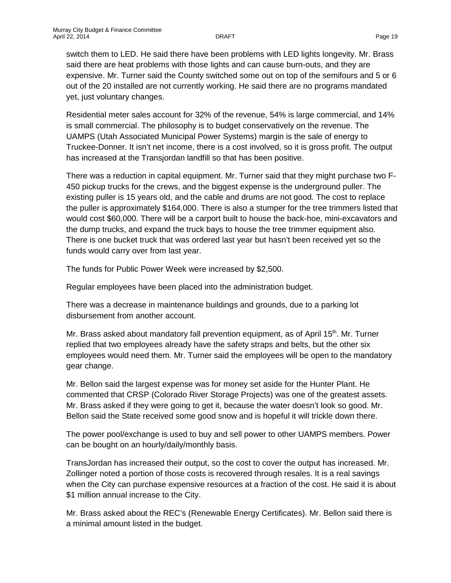switch them to LED. He said there have been problems with LED lights longevity. Mr. Brass said there are heat problems with those lights and can cause burn-outs, and they are expensive. Mr. Turner said the County switched some out on top of the semifours and 5 or 6 out of the 20 installed are not currently working. He said there are no programs mandated yet, just voluntary changes.

Residential meter sales account for 32% of the revenue, 54% is large commercial, and 14% is small commercial. The philosophy is to budget conservatively on the revenue. The UAMPS (Utah Associated Municipal Power Systems) margin is the sale of energy to Truckee-Donner. It isn't net income, there is a cost involved, so it is gross profit. The output has increased at the Transjordan landfill so that has been positive.

There was a reduction in capital equipment. Mr. Turner said that they might purchase two F-450 pickup trucks for the crews, and the biggest expense is the underground puller. The existing puller is 15 years old, and the cable and drums are not good. The cost to replace the puller is approximately \$164,000. There is also a stumper for the tree trimmers listed that would cost \$60,000. There will be a carport built to house the back-hoe, mini-excavators and the dump trucks, and expand the truck bays to house the tree trimmer equipment also. There is one bucket truck that was ordered last year but hasn't been received yet so the funds would carry over from last year.

The funds for Public Power Week were increased by \$2,500.

Regular employees have been placed into the administration budget.

There was a decrease in maintenance buildings and grounds, due to a parking lot disbursement from another account.

Mr. Brass asked about mandatory fall prevention equipment, as of April 15<sup>th</sup>. Mr. Turner replied that two employees already have the safety straps and belts, but the other six employees would need them. Mr. Turner said the employees will be open to the mandatory gear change.

Mr. Bellon said the largest expense was for money set aside for the Hunter Plant. He commented that CRSP (Colorado River Storage Projects) was one of the greatest assets. Mr. Brass asked if they were going to get it, because the water doesn't look so good. Mr. Bellon said the State received some good snow and is hopeful it will trickle down there.

The power pool/exchange is used to buy and sell power to other UAMPS members. Power can be bought on an hourly/daily/monthly basis.

TransJordan has increased their output, so the cost to cover the output has increased. Mr. Zollinger noted a portion of those costs is recovered through resales. It is a real savings when the City can purchase expensive resources at a fraction of the cost. He said it is about \$1 million annual increase to the City.

Mr. Brass asked about the REC's (Renewable Energy Certificates). Mr. Bellon said there is a minimal amount listed in the budget.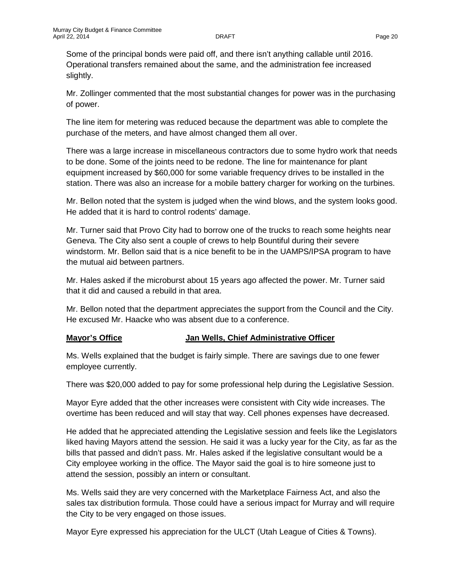Some of the principal bonds were paid off, and there isn't anything callable until 2016. Operational transfers remained about the same, and the administration fee increased slightly.

Mr. Zollinger commented that the most substantial changes for power was in the purchasing of power.

The line item for metering was reduced because the department was able to complete the purchase of the meters, and have almost changed them all over.

There was a large increase in miscellaneous contractors due to some hydro work that needs to be done. Some of the joints need to be redone. The line for maintenance for plant equipment increased by \$60,000 for some variable frequency drives to be installed in the station. There was also an increase for a mobile battery charger for working on the turbines.

Mr. Bellon noted that the system is judged when the wind blows, and the system looks good. He added that it is hard to control rodents' damage.

Mr. Turner said that Provo City had to borrow one of the trucks to reach some heights near Geneva. The City also sent a couple of crews to help Bountiful during their severe windstorm. Mr. Bellon said that is a nice benefit to be in the UAMPS/IPSA program to have the mutual aid between partners.

Mr. Hales asked if the microburst about 15 years ago affected the power. Mr. Turner said that it did and caused a rebuild in that area.

Mr. Bellon noted that the department appreciates the support from the Council and the City. He excused Mr. Haacke who was absent due to a conference.

### **Mayor's Office Jan Wells, Chief Administrative Officer**

Ms. Wells explained that the budget is fairly simple. There are savings due to one fewer employee currently.

There was \$20,000 added to pay for some professional help during the Legislative Session.

Mayor Eyre added that the other increases were consistent with City wide increases. The overtime has been reduced and will stay that way. Cell phones expenses have decreased.

He added that he appreciated attending the Legislative session and feels like the Legislators liked having Mayors attend the session. He said it was a lucky year for the City, as far as the bills that passed and didn't pass. Mr. Hales asked if the legislative consultant would be a City employee working in the office. The Mayor said the goal is to hire someone just to attend the session, possibly an intern or consultant.

Ms. Wells said they are very concerned with the Marketplace Fairness Act, and also the sales tax distribution formula. Those could have a serious impact for Murray and will require the City to be very engaged on those issues.

Mayor Eyre expressed his appreciation for the ULCT (Utah League of Cities & Towns).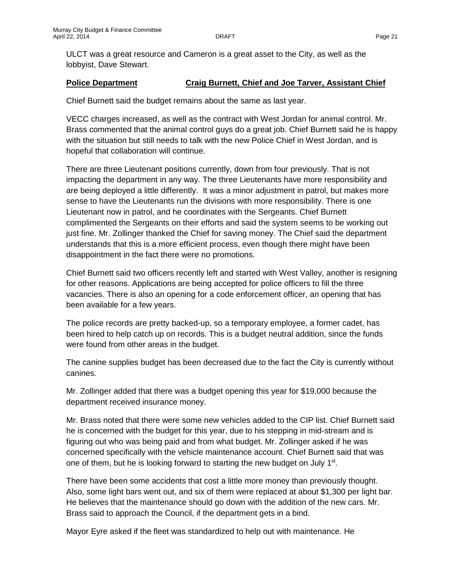ULCT was a great resource and Cameron is a great asset to the City, as well as the lobbyist, Dave Stewart.

# **Police Department Craig Burnett, Chief and Joe Tarver, Assistant Chief**

Chief Burnett said the budget remains about the same as last year.

VECC charges increased, as well as the contract with West Jordan for animal control. Mr. Brass commented that the animal control guys do a great job. Chief Burnett said he is happy with the situation but still needs to talk with the new Police Chief in West Jordan, and is hopeful that collaboration will continue.

There are three Lieutenant positions currently, down from four previously. That is not impacting the department in any way. The three Lieutenants have more responsibility and are being deployed a little differently. It was a minor adjustment in patrol, but makes more sense to have the Lieutenants run the divisions with more responsibility. There is one Lieutenant now in patrol, and he coordinates with the Sergeants. Chief Burnett complimented the Sergeants on their efforts and said the system seems to be working out just fine. Mr. Zollinger thanked the Chief for saving money. The Chief said the department understands that this is a more efficient process, even though there might have been disappointment in the fact there were no promotions.

Chief Burnett said two officers recently left and started with West Valley, another is resigning for other reasons. Applications are being accepted for police officers to fill the three vacancies. There is also an opening for a code enforcement officer, an opening that has been available for a few years.

The police records are pretty backed-up, so a temporary employee, a former cadet, has been hired to help catch up on records. This is a budget neutral addition, since the funds were found from other areas in the budget.

The canine supplies budget has been decreased due to the fact the City is currently without canines.

Mr. Zollinger added that there was a budget opening this year for \$19,000 because the department received insurance money.

Mr. Brass noted that there were some new vehicles added to the CIP list. Chief Burnett said he is concerned with the budget for this year, due to his stepping in mid-stream and is figuring out who was being paid and from what budget. Mr. Zollinger asked if he was concerned specifically with the vehicle maintenance account. Chief Burnett said that was one of them, but he is looking forward to starting the new budget on July  $1<sup>st</sup>$ .

There have been some accidents that cost a little more money than previously thought. Also, some light bars went out, and six of them were replaced at about \$1,300 per light bar. He believes that the maintenance should go down with the addition of the new cars. Mr. Brass said to approach the Council, if the department gets in a bind.

Mayor Eyre asked if the fleet was standardized to help out with maintenance. He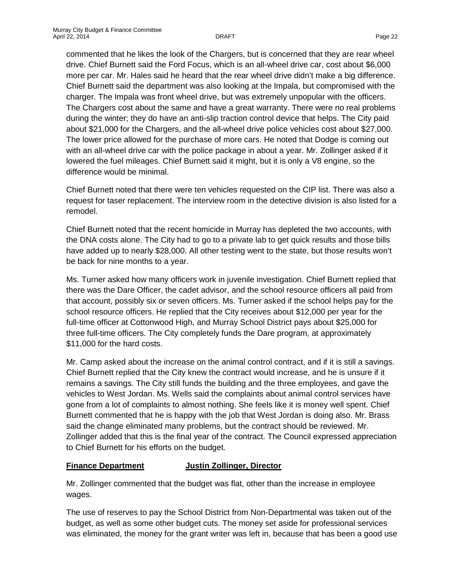commented that he likes the look of the Chargers, but is concerned that they are rear wheel drive. Chief Burnett said the Ford Focus, which is an all-wheel drive car, cost about \$6,000 more per car. Mr. Hales said he heard that the rear wheel drive didn't make a big difference. Chief Burnett said the department was also looking at the Impala, but compromised with the charger. The Impala was front wheel drive, but was extremely unpopular with the officers. The Chargers cost about the same and have a great warranty. There were no real problems during the winter; they do have an anti-slip traction control device that helps. The City paid about \$21,000 for the Chargers, and the all-wheel drive police vehicles cost about \$27,000. The lower price allowed for the purchase of more cars. He noted that Dodge is coming out with an all-wheel drive car with the police package in about a year. Mr. Zollinger asked if it lowered the fuel mileages. Chief Burnett said it might, but it is only a V8 engine, so the difference would be minimal.

Chief Burnett noted that there were ten vehicles requested on the CIP list. There was also a request for taser replacement. The interview room in the detective division is also listed for a remodel.

Chief Burnett noted that the recent homicide in Murray has depleted the two accounts, with the DNA costs alone. The City had to go to a private lab to get quick results and those bills have added up to nearly \$28,000. All other testing went to the state, but those results won't be back for nine months to a year.

Ms. Turner asked how many officers work in juvenile investigation. Chief Burnett replied that there was the Dare Officer, the cadet advisor, and the school resource officers all paid from that account, possibly six or seven officers. Ms. Turner asked if the school helps pay for the school resource officers. He replied that the City receives about \$12,000 per year for the full-time officer at Cottonwood High, and Murray School District pays about \$25,000 for three full-time officers. The City completely funds the Dare program, at approximately \$11,000 for the hard costs.

Mr. Camp asked about the increase on the animal control contract, and if it is still a savings. Chief Burnett replied that the City knew the contract would increase, and he is unsure if it remains a savings. The City still funds the building and the three employees, and gave the vehicles to West Jordan. Ms. Wells said the complaints about animal control services have gone from a lot of complaints to almost nothing. She feels like it is money well spent. Chief Burnett commented that he is happy with the job that West Jordan is doing also. Mr. Brass said the change eliminated many problems, but the contract should be reviewed. Mr. Zollinger added that this is the final year of the contract. The Council expressed appreciation to Chief Burnett for his efforts on the budget.

# **Finance Department Justin Zollinger, Director**

Mr. Zollinger commented that the budget was flat, other than the increase in employee wages.

The use of reserves to pay the School District from Non-Departmental was taken out of the budget, as well as some other budget cuts. The money set aside for professional services was eliminated, the money for the grant writer was left in, because that has been a good use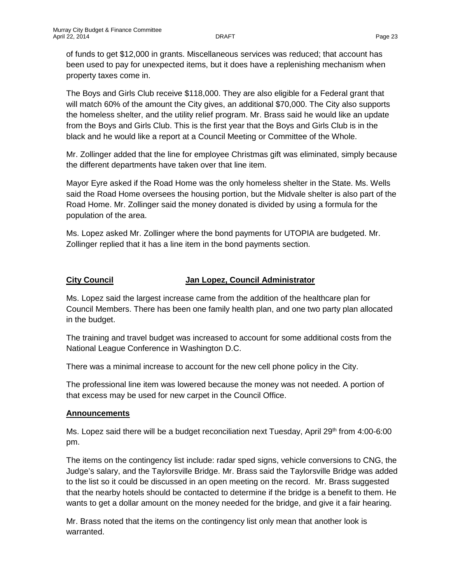of funds to get \$12,000 in grants. Miscellaneous services was reduced; that account has been used to pay for unexpected items, but it does have a replenishing mechanism when property taxes come in.

The Boys and Girls Club receive \$118,000. They are also eligible for a Federal grant that will match 60% of the amount the City gives, an additional \$70,000. The City also supports the homeless shelter, and the utility relief program. Mr. Brass said he would like an update from the Boys and Girls Club. This is the first year that the Boys and Girls Club is in the black and he would like a report at a Council Meeting or Committee of the Whole.

Mr. Zollinger added that the line for employee Christmas gift was eliminated, simply because the different departments have taken over that line item.

Mayor Eyre asked if the Road Home was the only homeless shelter in the State. Ms. Wells said the Road Home oversees the housing portion, but the Midvale shelter is also part of the Road Home. Mr. Zollinger said the money donated is divided by using a formula for the population of the area.

Ms. Lopez asked Mr. Zollinger where the bond payments for UTOPIA are budgeted. Mr. Zollinger replied that it has a line item in the bond payments section.

# **City Council Jan Lopez, Council Administrator**

Ms. Lopez said the largest increase came from the addition of the healthcare plan for Council Members. There has been one family health plan, and one two party plan allocated in the budget.

The training and travel budget was increased to account for some additional costs from the National League Conference in Washington D.C.

There was a minimal increase to account for the new cell phone policy in the City.

The professional line item was lowered because the money was not needed. A portion of that excess may be used for new carpet in the Council Office.

### **Announcements**

Ms. Lopez said there will be a budget reconciliation next Tuesday, April  $29<sup>th</sup>$  from 4:00-6:00 pm.

The items on the contingency list include: radar sped signs, vehicle conversions to CNG, the Judge's salary, and the Taylorsville Bridge. Mr. Brass said the Taylorsville Bridge was added to the list so it could be discussed in an open meeting on the record. Mr. Brass suggested that the nearby hotels should be contacted to determine if the bridge is a benefit to them. He wants to get a dollar amount on the money needed for the bridge, and give it a fair hearing.

Mr. Brass noted that the items on the contingency list only mean that another look is warranted.